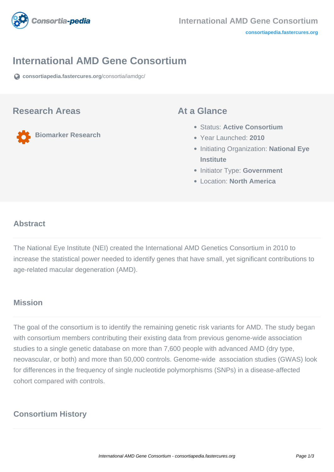

#### **International AMD Gene Consortium**

**[consortiapedia.fastercures.org](https://consortiapedia.fastercures.org/consortia/iamdgc/)**[/consortia/iamdgc/](https://consortiapedia.fastercures.org/consortia/iamdgc/)

#### **Research Areas**

**Biomarker Research**

#### **At a Glance**

- Status: **Active Consortium**
- Year Launched: **2010**
- **Initiating Organization: National Eye Institute**
- **Initiator Type: Government**
- Location: **North America**

#### $\overline{a}$ **Abstract**

The National Eye Institute (NEI) created the International AMD Genetics Consortium in 2010 to increase the statistical power needed to identify genes that have small, yet significant contributions to age-related macular degeneration (AMD).

# **Mission**

The goal of the consortium is to identify the remaining genetic risk variants for AMD. The study began with consortium members contributing their existing data from previous genome-wide association studies to a single genetic database on more than 7,600 people with advanced AMD (dry type, neovascular, or both) and more than 50,000 controls. Genome-wide association studies (GWAS) look for differences in the frequency of single nucleotide polymorphisms (SNPs) in a disease-affected cohort compared with controls.

# **Consortium History**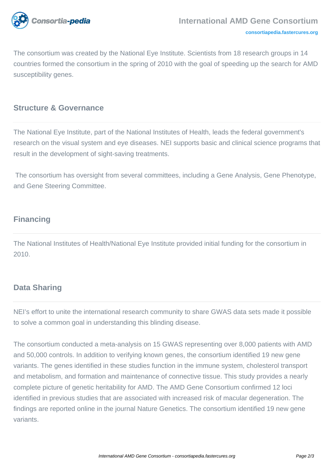

The consortium was created by the National Eye Institute. Scientists from 18 research groups in 14 countries formed the consortium in the spring of 2010 with the goal of speeding up the search for AMD susceptibility genes.

## **Structure & Governance**

The National Eye Institute, part of the National Institutes of Health, leads the federal government's research on the visual system and eye diseases. NEI supports basic and clinical science programs that result in the development of sight-saving treatments.

 The consortium has oversight from several committees, including a Gene Analysis, Gene Phenotype, and Gene Steering Committee.

# **Financing**

The National Institutes of Health/National Eye Institute provided initial funding for the consortium in 2010.

# **Data Sharing**

NEI's effort to unite the international research community to share GWAS data sets made it possible to solve a common goal in understanding this blinding disease.

The consortium conducted a meta-analysis on 15 GWAS representing over 8,000 patients with AMD and 50,000 controls. In addition to verifying known genes, the consortium identified 19 new gene variants. The genes identified in these studies function in the immune system, cholesterol transport and metabolism, and formation and maintenance of connective tissue. This study provides a nearly complete picture of genetic heritability for AMD. The AMD Gene Consortium confirmed 12 loci identified in previous studies that are associated with increased risk of macular degeneration. The findings are reported online in the journal Nature Genetics. The consortium identified 19 new gene variants.